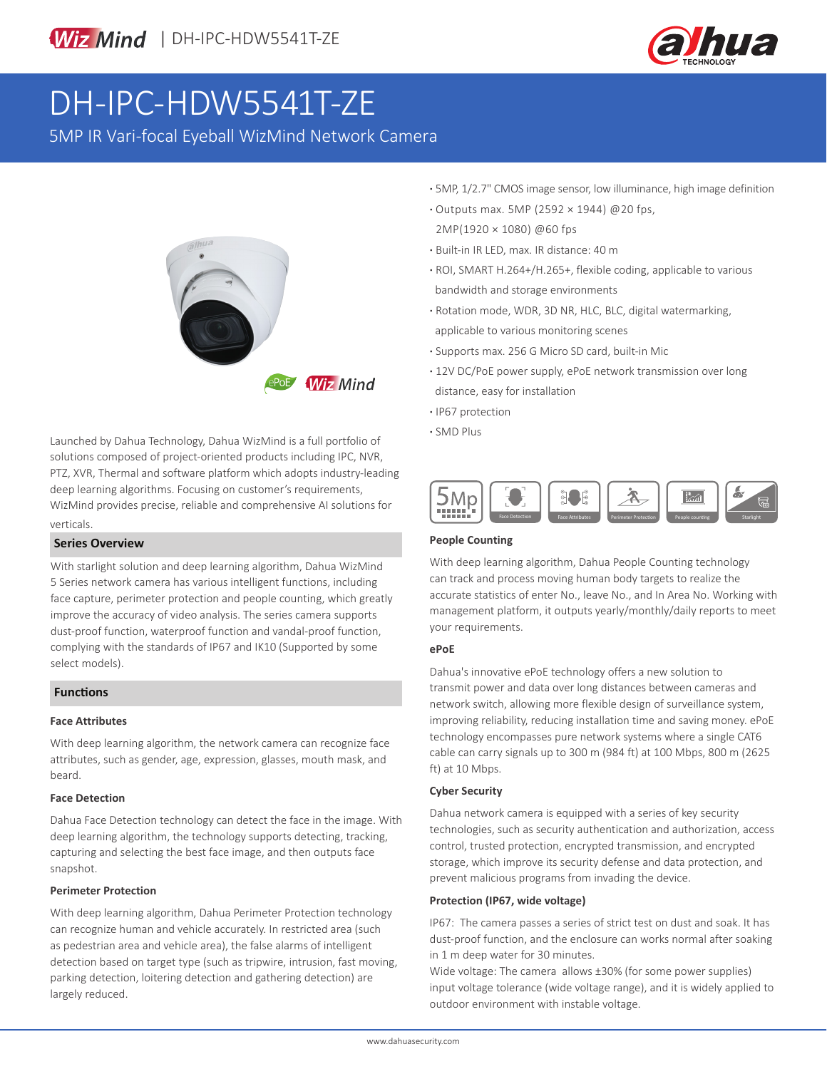

# DH-IPC-HDW5541T-ZE

5MP IR Vari-focal Eyeball WizMind Network Camera



Launched by Dahua Technology, Dahua WizMind is a full portfolio of solutions composed of project-oriented products including IPC, NVR, PTZ, XVR, Thermal and software platform which adopts industry-leading deep learning algorithms. Focusing on customer's requirements, WizMind provides precise, reliable and comprehensive AI solutions for verticals.

# **Series Overview**

With starlight solution and deep learning algorithm, Dahua WizMind 5 Series network camera has various intelligent functions, including face capture, perimeter protection and people counting, which greatly improve the accuracy of video analysis. The series camera supports dust-proof function, waterproof function and vandal-proof function, complying with the standards of IP67 and IK10 (Supported by some select models).

## **Functions**

#### **Face Attributes**

With deep learning algorithm, the network camera can recognize face attributes, such as gender, age, expression, glasses, mouth mask, and beard.

#### **Face Detection**

Dahua Face Detection technology can detect the face in the image. With deep learning algorithm, the technology supports detecting, tracking, capturing and selecting the best face image, and then outputs face snapshot.

### **Perimeter Protection**

With deep learning algorithm, Dahua Perimeter Protection technology can recognize human and vehicle accurately. In restricted area (such as pedestrian area and vehicle area), the false alarms of intelligent detection based on target type (such as tripwire, intrusion, fast moving, parking detection, loitering detection and gathering detection) are largely reduced.

- **·** 5MP, 1/2.7" CMOS image sensor, low illuminance, high image definition
- **·** Outputs max. 5MP (2592 × 1944) @20 fps, 2MP(1920 × 1080) @60 fps
- **·** Built-in IR LED, max. IR distance: 40 m
- **·** ROI, SMART H.264+/H.265+, flexible coding, applicable to various bandwidth and storage environments
- **·** Rotation mode, WDR, 3D NR, HLC, BLC, digital watermarking, applicable to various monitoring scenes
- **·** Supports max. 256 G Micro SD card, built-in Mic
- **·** 12V DC/PoE power supply, ePoE network transmission over long distance, easy for installation
- **·** IP67 protection
- **·** SMD Plus



#### **People Counting**

With deep learning algorithm, Dahua People Counting technology can track and process moving human body targets to realize the accurate statistics of enter No., leave No., and In Area No. Working with management platform, it outputs yearly/monthly/daily reports to meet your requirements.

#### **ePoE**

Dahua's innovative ePoE technology offers a new solution to transmit power and data over long distances between cameras and network switch, allowing more flexible design of surveillance system, improving reliability, reducing installation time and saving money. ePoE technology encompasses pure network systems where a single CAT6 cable can carry signals up to 300 m (984 ft) at 100 Mbps, 800 m (2625 ft) at 10 Mbps.

#### **Cyber Security**

Dahua network camera is equipped with a series of key security technologies, such as security authentication and authorization, access control, trusted protection, encrypted transmission, and encrypted storage, which improve its security defense and data protection, and prevent malicious programs from invading the device.

#### **Protection (IP67, wide voltage)**

IP67: The camera passes a series of strict test on dust and soak. It has dust-proof function, and the enclosure can works normal after soaking in 1 m deep water for 30 minutes.

Wide voltage: The camera allows ±30% (for some power supplies) input voltage tolerance (wide voltage range), and it is widely applied to outdoor environment with instable voltage.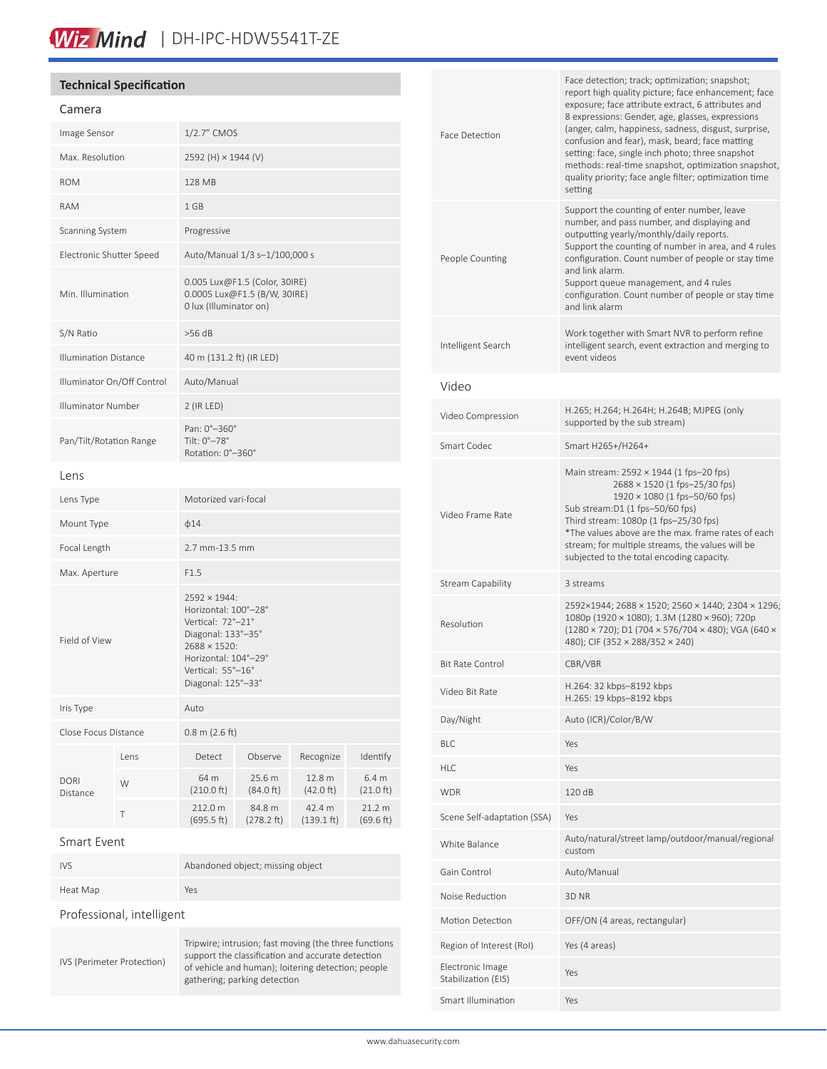# Wiz Mind | DH-IPC-HDW5541T-ZE

## **Technical Specification**

# Camera

| Image Sensor                 |      | 1/2.7" CMOS                                                                                                                                                        |                      |                      |                              |
|------------------------------|------|--------------------------------------------------------------------------------------------------------------------------------------------------------------------|----------------------|----------------------|------------------------------|
| Max. Resolution              |      | 2592 (H) × 1944 (V)                                                                                                                                                |                      |                      |                              |
| <b>ROM</b>                   |      | 128 MB                                                                                                                                                             |                      |                      |                              |
| <b>RAM</b>                   |      | 1 GB                                                                                                                                                               |                      |                      |                              |
| Scanning System              |      | Progressive                                                                                                                                                        |                      |                      |                              |
| Electronic Shutter Speed     |      | Auto/Manual 1/3 s-1/100,000 s                                                                                                                                      |                      |                      |                              |
| Min. Illumination            |      | 0.005 Lux@F1.5 (Color, 30IRE)<br>0.0005 Lux@F1.5 (B/W, 30IRE)<br>0 lux (Illuminator on)                                                                            |                      |                      |                              |
| S/N Ratio                    |      | $>56$ dB                                                                                                                                                           |                      |                      |                              |
| <b>Illumination Distance</b> |      | 40 m (131.2 ft) (IR LED)                                                                                                                                           |                      |                      |                              |
| Illuminator On/Off Control   |      | Auto/Manual                                                                                                                                                        |                      |                      |                              |
| Illuminator Number           |      | $2$ (IR LED)                                                                                                                                                       |                      |                      |                              |
| Pan/Tilt/Rotation Range      |      | Pan: 0°-360°<br>Tilt: 0°-78°<br>Rotation: 0°-360°                                                                                                                  |                      |                      |                              |
| Lens                         |      |                                                                                                                                                                    |                      |                      |                              |
| Lens Type                    |      | Motorized vari-focal                                                                                                                                               |                      |                      |                              |
| Mount Type                   |      | $\phi$ 14                                                                                                                                                          |                      |                      |                              |
| Focal Length                 |      | 2.7 mm-13.5 mm                                                                                                                                                     |                      |                      |                              |
| Max. Aperture                |      | F1.5                                                                                                                                                               |                      |                      |                              |
| Field of View                |      | 2592 × 1944:<br>Horizontal: 100°-28°<br>Vertical: 72°-21°<br>Diagonal: 133°-35°<br>2688 × 1520:<br>Horizontal: 104°-29°<br>Vertical: 55°-16°<br>Diagonal: 125°-33° |                      |                      |                              |
| Iris Type                    |      | Auto                                                                                                                                                               |                      |                      |                              |
| Close Focus Distance         |      | $0.8$ m (2.6 ft)                                                                                                                                                   |                      |                      |                              |
| <b>DORI</b><br>Distance      | Lens | Detect                                                                                                                                                             | Observe              | Recognize            | Identify                     |
|                              | W    | 64 m<br>$(210.0 \text{ ft})$                                                                                                                                       | 25.6 m<br>(84.0 ft)  | 12.8 m<br>(42.0 ft)  | 6.4 m<br>$(21.0 \text{ ft})$ |
|                              | Т    | 212.0 m<br>(695.5 ft)                                                                                                                                              | 84.8 m<br>(278.2 ft) | 42.4 m<br>(139.1 ft) | 21.2 m<br>(69.6 ft)          |
| Smart Event                  |      |                                                                                                                                                                    |                      |                      |                              |
| <b>IVS</b>                   |      | Abandoned object; missing object                                                                                                                                   |                      |                      |                              |
| Heat Map                     |      | Yes                                                                                                                                                                |                      |                      |                              |
| Professional intelligent     |      |                                                                                                                                                                    |                      |                      |                              |

IVS (Perimeter Protection)

Tripwire; intrusion; fast moving (the three functions support the classification and accurate detection of vehicle and human); loitering detection; people gathering; parking detection

| Face Detection                          | Face detection; track; optimization; snapshot;<br>report high quality picture; face enhancement; face<br>exposure; face attribute extract, 6 attributes and<br>8 expressions: Gender, age, glasses, expressions<br>(anger, calm, happiness, sadness, disgust, surprise,<br>confusion and fear), mask, beard; face matting<br>setting: face, single inch photo; three snapshot<br>methods: real-time snapshot, optimization snapshot,<br>quality priority; face angle filter; optimization time<br>setting |
|-----------------------------------------|-----------------------------------------------------------------------------------------------------------------------------------------------------------------------------------------------------------------------------------------------------------------------------------------------------------------------------------------------------------------------------------------------------------------------------------------------------------------------------------------------------------|
| People Counting                         | Support the counting of enter number, leave<br>number, and pass number, and displaying and<br>outputting yearly/monthly/daily reports.<br>Support the counting of number in area, and 4 rules<br>configuration. Count number of people or stay time<br>and link alarm.<br>Support queue management, and 4 rules<br>configuration. Count number of people or stay time<br>and link alarm                                                                                                                   |
| Intelligent Search                      | Work together with Smart NVR to perform refine<br>intelligent search, event extraction and merging to<br>event videos                                                                                                                                                                                                                                                                                                                                                                                     |
| Video                                   |                                                                                                                                                                                                                                                                                                                                                                                                                                                                                                           |
| Video Compression                       | H.265; H.264; H.264H; H.264B; MJPEG (only<br>supported by the sub stream)                                                                                                                                                                                                                                                                                                                                                                                                                                 |
| Smart Codec                             | Smart H265+/H264+                                                                                                                                                                                                                                                                                                                                                                                                                                                                                         |
| Video Frame Rate                        | Main stream: $2592 \times 1944$ (1 fps-20 fps)<br>2688 × 1520 (1 fps-25/30 fps)<br>1920 × 1080 (1 fps-50/60 fps)<br>Sub stream:D1 (1 fps-50/60 fps)<br>Third stream: 1080p (1 fps-25/30 fps)<br>*The values above are the max. frame rates of each<br>stream; for multiple streams, the values will be<br>subjected to the total encoding capacity.                                                                                                                                                       |
| Stream Capability                       | 3 streams                                                                                                                                                                                                                                                                                                                                                                                                                                                                                                 |
| Resolution                              | 2592×1944; 2688 × 1520; 2560 × 1440; 2304 × 1296;<br>1080p (1920 × 1080); 1.3M (1280 × 960); 720p<br>$(1280 \times 720)$ ; D1 (704 × 576/704 × 480); VGA (640 ×<br>480); CIF (352 × 288/352 × 240)                                                                                                                                                                                                                                                                                                        |
| Bit Rate Control                        | CBR/VBR                                                                                                                                                                                                                                                                                                                                                                                                                                                                                                   |
| Video Bit Rate                          | H.264: 32 kbps-8192 kbps<br>H.265: 19 kbps-8192 kbps                                                                                                                                                                                                                                                                                                                                                                                                                                                      |
| Day/Night                               | Auto (ICR)/Color/B/W                                                                                                                                                                                                                                                                                                                                                                                                                                                                                      |
| BLC                                     | Yes                                                                                                                                                                                                                                                                                                                                                                                                                                                                                                       |
| HLC                                     | Yes                                                                                                                                                                                                                                                                                                                                                                                                                                                                                                       |
| <b>WDR</b>                              | 120 dB                                                                                                                                                                                                                                                                                                                                                                                                                                                                                                    |
| Scene Self-adaptation (SSA)             | Yes                                                                                                                                                                                                                                                                                                                                                                                                                                                                                                       |
| White Balance                           | Auto/natural/street lamp/outdoor/manual/regional<br>custom                                                                                                                                                                                                                                                                                                                                                                                                                                                |
| Gain Control                            | Auto/Manual                                                                                                                                                                                                                                                                                                                                                                                                                                                                                               |
| Noise Reduction                         | 3D <sub>NR</sub>                                                                                                                                                                                                                                                                                                                                                                                                                                                                                          |
| Motion Detection                        | OFF/ON (4 areas, rectangular)                                                                                                                                                                                                                                                                                                                                                                                                                                                                             |
| Region of Interest (RoI)                | Yes (4 areas)                                                                                                                                                                                                                                                                                                                                                                                                                                                                                             |
| Electronic Image<br>Stabilization (EIS) | Yes                                                                                                                                                                                                                                                                                                                                                                                                                                                                                                       |
| Smart Illumination                      | Yes                                                                                                                                                                                                                                                                                                                                                                                                                                                                                                       |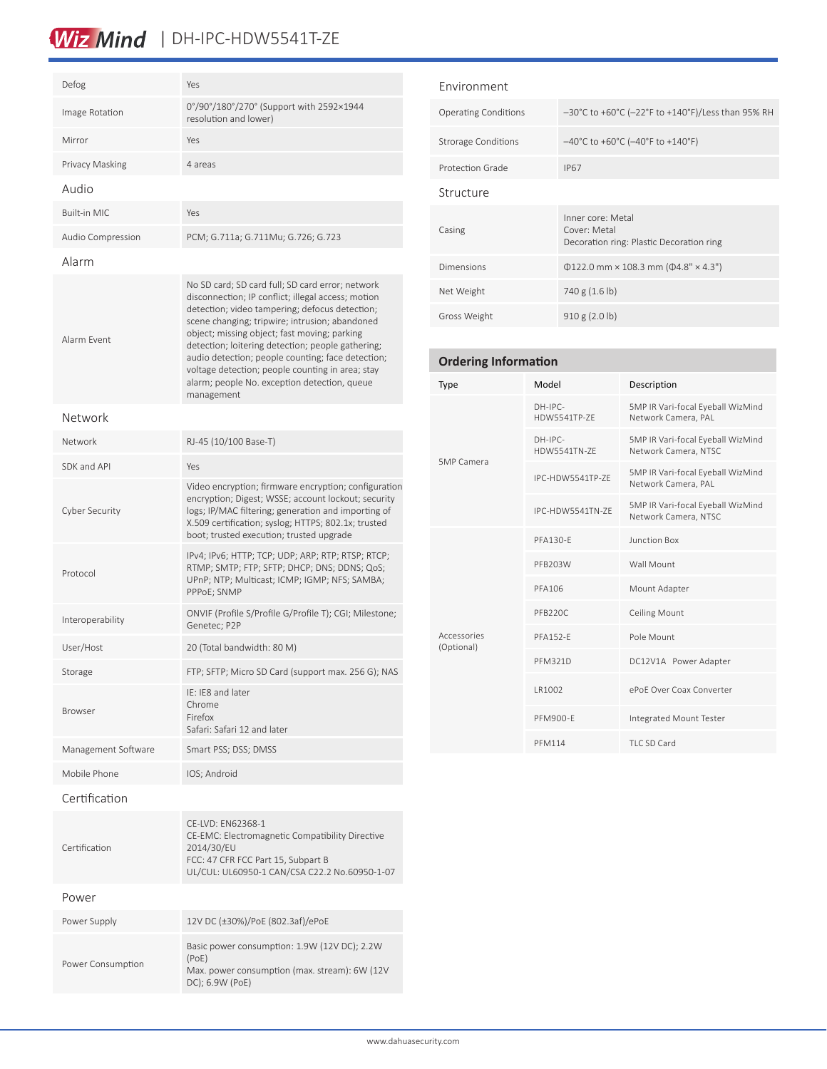# Wiz Mind | DH-IPC-HDW5541T-ZE

| Defog                 | Yes                                                                                                                                                                                                                                                                                                                                                                                                                                                                                    |  |  |  |
|-----------------------|----------------------------------------------------------------------------------------------------------------------------------------------------------------------------------------------------------------------------------------------------------------------------------------------------------------------------------------------------------------------------------------------------------------------------------------------------------------------------------------|--|--|--|
| Image Rotation        | 0°/90°/180°/270° (Support with 2592×1944<br>resolution and lower)                                                                                                                                                                                                                                                                                                                                                                                                                      |  |  |  |
| Mirror                | Yes                                                                                                                                                                                                                                                                                                                                                                                                                                                                                    |  |  |  |
| Privacy Masking       | 4 areas                                                                                                                                                                                                                                                                                                                                                                                                                                                                                |  |  |  |
| Audio                 |                                                                                                                                                                                                                                                                                                                                                                                                                                                                                        |  |  |  |
| <b>Built-in MIC</b>   | Yes                                                                                                                                                                                                                                                                                                                                                                                                                                                                                    |  |  |  |
| Audio Compression     | PCM; G.711a; G.711Mu; G.726; G.723                                                                                                                                                                                                                                                                                                                                                                                                                                                     |  |  |  |
| Alarm                 |                                                                                                                                                                                                                                                                                                                                                                                                                                                                                        |  |  |  |
| Alarm Fvent           | No SD card; SD card full; SD card error; network<br>disconnection; IP conflict; illegal access; motion<br>detection; video tampering; defocus detection;<br>scene changing; tripwire; intrusion; abandoned<br>object; missing object; fast moving; parking<br>detection; loitering detection; people gathering;<br>audio detection; people counting; face detection;<br>voltage detection; people counting in area; stay<br>alarm; people No. exception detection, queue<br>management |  |  |  |
| Network               |                                                                                                                                                                                                                                                                                                                                                                                                                                                                                        |  |  |  |
| Network               | RJ-45 (10/100 Base-T)                                                                                                                                                                                                                                                                                                                                                                                                                                                                  |  |  |  |
| SDK and API           | Yes                                                                                                                                                                                                                                                                                                                                                                                                                                                                                    |  |  |  |
| <b>Cyber Security</b> | Video encryption; firmware encryption; configuration<br>encryption; Digest; WSSE; account lockout; security<br>logs; IP/MAC filtering; generation and importing of<br>X.509 certification; syslog; HTTPS; 802.1x; trusted<br>boot; trusted execution; trusted upgrade                                                                                                                                                                                                                  |  |  |  |
| Protocol              | IPv4; IPv6; HTTP; TCP; UDP; ARP; RTP; RTSP; RTCP;<br>RTMP; SMTP; FTP; SFTP; DHCP; DNS; DDNS; QoS;<br>UPnP; NTP; Multicast; ICMP; IGMP; NFS; SAMBA;<br>PPPoE; SNMP                                                                                                                                                                                                                                                                                                                      |  |  |  |
| Interoperability      | ONVIF (Profile S/Profile G/Profile T); CGI; Milestone;<br>Genetec; P2P                                                                                                                                                                                                                                                                                                                                                                                                                 |  |  |  |
| User/Host             | 20 (Total bandwidth: 80 M)                                                                                                                                                                                                                                                                                                                                                                                                                                                             |  |  |  |
| Storage               | FTP; SFTP; Micro SD Card (support max. 256 G); NAS                                                                                                                                                                                                                                                                                                                                                                                                                                     |  |  |  |
| <b>Browser</b>        | IF: IF8 and later<br>Chrome<br>Firefox<br>Safari: Safari 12 and later                                                                                                                                                                                                                                                                                                                                                                                                                  |  |  |  |
| Management Software   | Smart PSS; DSS; DMSS                                                                                                                                                                                                                                                                                                                                                                                                                                                                   |  |  |  |
| Mobile Phone          | IOS; Android                                                                                                                                                                                                                                                                                                                                                                                                                                                                           |  |  |  |
| Certification         |                                                                                                                                                                                                                                                                                                                                                                                                                                                                                        |  |  |  |
| Certification         | CE-LVD: EN62368-1<br>CE-EMC: Electromagnetic Compatibility Directive<br>2014/30/EU<br>FCC: 47 CFR FCC Part 15, Subpart B<br>UL/CUL: UL60950-1 CAN/CSA C22.2 No.60950-1-07                                                                                                                                                                                                                                                                                                              |  |  |  |
| Power                 |                                                                                                                                                                                                                                                                                                                                                                                                                                                                                        |  |  |  |
| Power Supply          | 12V DC (±30%)/PoE (802.3af)/ePoE                                                                                                                                                                                                                                                                                                                                                                                                                                                       |  |  |  |
| Power Consumption     | Basic power consumption: 1.9W (12V DC); 2.2W<br>(PoE)<br>$f$ on $(m_2x + r_2w)$ , $f(M/12)$                                                                                                                                                                                                                                                                                                                                                                                            |  |  |  |

| <b>Fnvironment</b>          |                                                                               |
|-----------------------------|-------------------------------------------------------------------------------|
| <b>Operating Conditions</b> | $-30^{\circ}$ C to +60°C (-22°F to +140°F)/Less than 95% RH                   |
| <b>Strorage Conditions</b>  | $-40^{\circ}$ C to +60 $^{\circ}$ C (-40 $^{\circ}$ F to +140 $^{\circ}$ F)   |
| Protection Grade            | <b>IP67</b>                                                                   |
| Structure                   |                                                                               |
| Casing                      | Inner core: Metal<br>Cover: Metal<br>Decoration ring: Plastic Decoration ring |
| Dimensions                  | $\Phi$ 122.0 mm × 108.3 mm ( $\Phi$ 4.8" × 4.3")                              |
| Net Weight                  | 740 g (1.6 lb)                                                                |
| Gross Weight                | 910 g (2.0 lb)                                                                |

### **Ordering Information** Type Model Description 5MP Camera DH-IPC-HDW5541TP-ZE 5MP IR Vari-focal Eyeball WizMind Network Camera, PAL DH-IPC-HDW5541TN-ZE 5MP IR Vari-focal Eyeball WizMind Network Camera, NTSC IPC-HDW5541TP-ZE 5MP IR Vari-focal Eyeball WizMind Network Camera, PAL IPC-HDW5541TN-ZE 5MP IR Vari-focal Eyeball WizMind Network Camera, NTSC Accessories (Optional) PFA130-E Junction Box PFB203W Wall Mount PFA106 Mount Adapter PFB220C Ceiling Mount PFA152-E Pole Mount PFM321D DC12V1A Power Adapter LR1002 ePoE Over Coax Converter PFM900-E Integrated Mount Tester PFM114 TLC SD Card

Max. power consumption (max. stream): 6W (12V

DC); 6.9W (PoE)